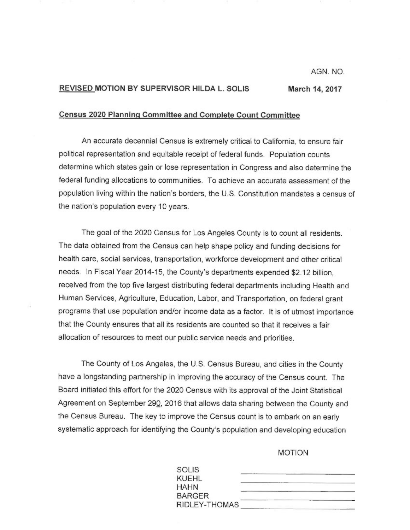AGN. NO.

## REVISED MOTION BY SUPERVISOR HILDA L. SOLIS March 14, 2017

## <sup>C</sup>ensus 2020 Planning Committee and Complete Count Committee

<sup>A</sup>n accurate decennial Census is extremely critical to California, to ensure fair <sup>p</sup>olitical representation and equitable receipt of federal funds. Population counts determine which states gain or lose representation in Congress and also determine the federal funding allocations to communities. To achieve an accurate assessment of the population living within the nation's borders, the U.S. Constitution mandates a census of <sup>t</sup>he nation's population every 10 years.

<sup>T</sup>he goal of the 2020 Census for Los Angeles County is to count all residents. <sup>T</sup>he data obtained from the Census can help shape policy and funding decisions for <sup>h</sup>ealth care, social services, transportation, workforce development and other critical <sup>n</sup>eeds. In Fiscal Year 2014-15, the County's departments expended \$2.12 billion, <sup>r</sup>eceived from the top five largest distributing federal departments including Health and <sup>H</sup>uman Services, Agriculture, Education, Labor, and Transportation, on federal grant <sup>p</sup>rograms that use population and/or income data as a factor. It is of utmost importance that the County ensures that all its residents are counted so that it receives a fair <sup>a</sup>llocation of resources to meet our public service needs and priorities.

<sup>T</sup>he County of Los Angeles, the U.S. Census Bureau, and cities in the County <sup>h</sup>ave a longstanding partnership in improving the accuracy of the Census count. The <sup>B</sup>oard initiated this effort for the 2020 Census with its approval of the Joint Statistical Agreement on September 290, 2016 that allows data sharing between the County and <sup>t</sup>he Census Bureau. The key to improve the Census count is to embark on an early <sup>s</sup>ystematic approach for identifying the County's population and developing education

MOTION

| <b>SOLIS</b>  |  |
|---------------|--|
| <b>KUEHL</b>  |  |
| <b>HAHN</b>   |  |
| <b>BARGER</b> |  |
| RIDLEY-THOMAS |  |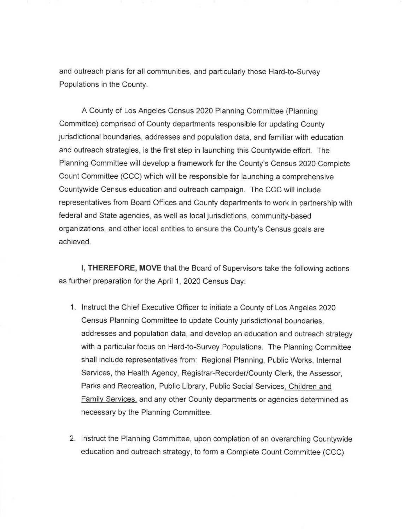and outreach plans for all communities, and particularly those Hard-to-Survey Populations in the County.

A County of Los Angeles Census 2020 Planning Committee (Planning Committee) comprised of County departments responsible for updating County jurisdictional boundaries, addresses and population data, and familiar with education and outreach strategies, is the first step in launching this Countywide effort. The Planning Committee will develop a framework for the County's Census 2020 Complete Count Committee (CCC) which will be responsible for launching a comprehensive Countywide Census education and outreach campaign. The CCC will include representatives from Board Offices and County departments to work in partnership with federal and State agencies, as well as local jurisdictions, community-based organizations, and other local entities to ensure the County's Census goals are achieved.

I, THEREFORE, MOVE that the Board of Supervisors take the following actions as further preparation for the April 1, 2020 Census Day:

- <sup>1</sup> . Instruct the Chief Executive Officer to initiate a County of Los Angeles 2020 Census Planning Committee to update County jurisdictional boundaries, addresses and population data, and develop an education and outreach strategy with a particular focus on Hard-to-Survey Populations. The Planning Committee shall include representatives from: Regional Planning, Public Works, Internal Services, the Health Agency, Registrar-Recorder/County Clerk, the Assessor, Parks and Recreation, Public Library, Public Social Services, Children and Family Services, and any other County departments or agencies determined as necessary by the Planning Committee.
- 2. Instruct the Planning Committee, upon completion of an overarching Countywide education and outreach strategy, to form a Complete Count Committee (CCC)